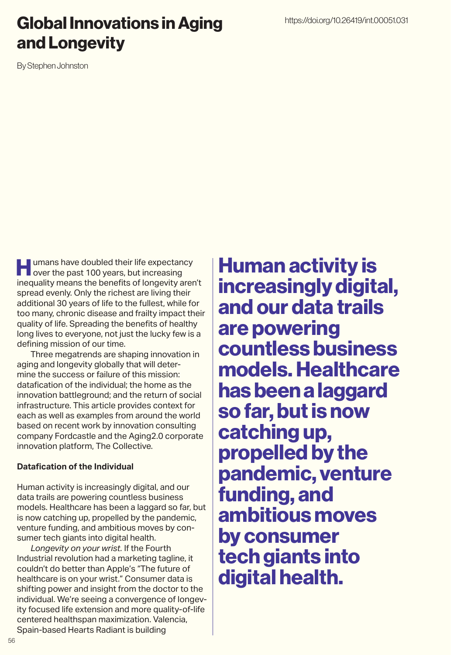# Global Innovations in Aging and Longevity

By Stephen Johnston

**Humans have doubled their life expectancy**<br>over the past 100 years, but increasing inequality means the benefits of longevity aren't spread evenly. Only the richest are living their additional 30 years of life to the fullest, while for too many, chronic disease and frailty impact their quality of life. Spreading the benefits of healthy long lives to everyone, not just the lucky few is a defining mission of our time.

Three megatrends are shaping innovation in aging and longevity globally that will determine the success or failure of this mission: datafication of the individual; the home as the innovation battleground; and the return of social infrastructure. This article provides context for each as well as examples from around the world based on recent work by innovation consulting company Fordcastle and the Aging2.0 corporate innovation platform, The Collective.

## **Datafication of the Individual**

Human activity is increasingly digital, and our data trails are powering countless business models. Healthcare has been a laggard so far, but is now catching up, propelled by the pandemic, venture funding, and ambitious moves by consumer tech giants into digital health.

*Longevity on your wrist.* If the Fourth Industrial revolution had a marketing tagline, it couldn't do better than Apple's "The future of healthcare is on your wrist." Consumer data is shifting power and insight from the doctor to the individual. We're seeing a convergence of longevity focused life extension and more quality-of-life centered healthspan maximization. Valencia, Spain-based Hearts Radiant is building

Human activity is increasingly digital, and our data trails are powering countless business models. Healthcare has been a laggard so far, but is now catching up, propelled by the pandemic, venture funding, and ambitious moves by consumer tech giants into digital health.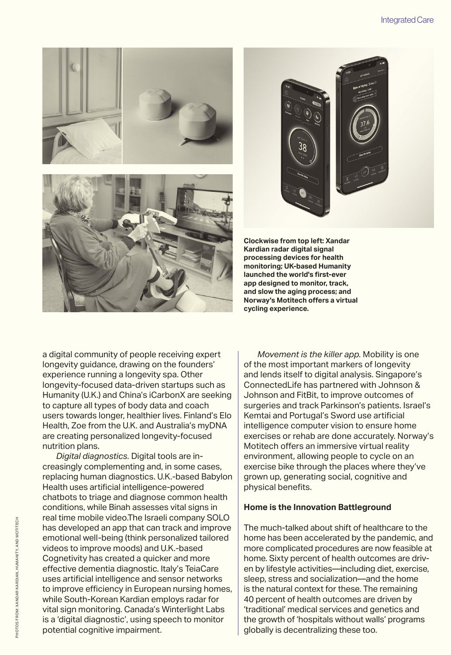





**Clockwise from top left: Xandar Kardian radar digital signal processing devices for health monitoring; UK-based Humanity launched the world's first-ever app designed to monitor, track, and slow the aging process; and Norway's Motitech offers a virtual cycling experience.** 

a digital community of people receiving expert longevity guidance, drawing on the founders' experience running a longevity spa. Other longevity-focused data-driven startups such as Humanity (U.K.) and China's iCarbonX are seeking to capture all types of body data and coach users towards longer, healthier lives. Finland's Elo Health, Zoe from the U.K. and Australia's myDNA are creating personalized longevity-focused nutrition plans.

*Digital diagnostics.* Digital tools are increasingly complementing and, in some cases, replacing human diagnostics. U.K.-based Babylon Health uses artificial intelligence-powered chatbots to triage and diagnose common health conditions, while Binah assesses vital signs in real time mobile video.The Israeli company SOLO has developed an app that can track and improve emotional well-being (think personalized tailored videos to improve moods) and U.K.-based Cognetivity has created a quicker and more effective dementia diagnostic. Italy's TeiaCare uses artificial intelligence and sensor networks to improve efficiency in European nursing homes, while South-Korean Kardian employs radar for vital sign monitoring. Canada's Winterlight Labs is a 'digital diagnostic', using speech to monitor potential cognitive impairment.

*Movement is the killer app.* Mobility is one of the most important markers of longevity and lends itself to digital analysis. Singapore's ConnectedLife has partnered with Johnson & Johnson and FitBit, to improve outcomes of surgeries and track Parkinson's patients. Israel's Kemtai and Portugal's Sword use artificial intelligence computer vision to ensure home exercises or rehab are done accurately. Norway's Motitech offers an immersive virtual reality environment, allowing people to cycle on an exercise bike through the places where they've grown up, generating social, cognitive and physical benefits.

#### **Home is the Innovation Battleground**

The much-talked about shift of healthcare to the home has been accelerated by the pandemic, and more complicated procedures are now feasible at home. Sixty percent of health outcomes are driven by lifestyle activities—including diet, exercise, sleep, stress and socialization—and the home is the natural context for these. The remaining 40 percent of health outcomes are driven by 'traditional' medical services and genetics and the growth of 'hospitals without walls' programs globally is decentralizing these too.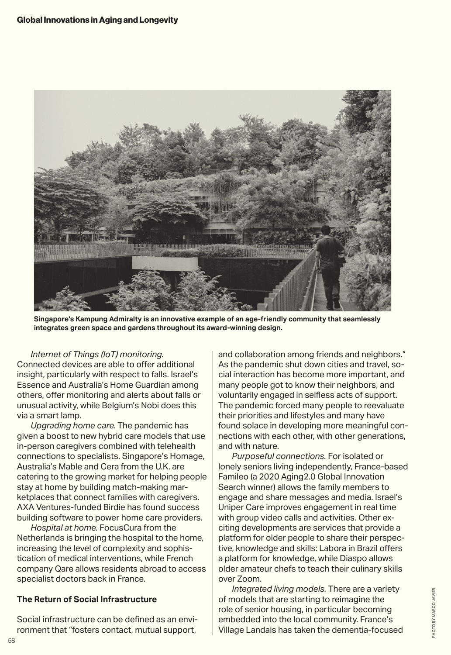

**Singapore's Kampung Admiralty is an innovative example of an age-friendly community that seamlessly integrates green space and gardens throughout its award-winning design.** 

#### *Internet of Things (IoT) monitoring.*

Connected devices are able to offer additional insight, particularly with respect to falls. Israel's Essence and Australia's Home Guardian among others, offer monitoring and alerts about falls or unusual activity, while Belgium's Nobi does this via a smart lamp.

*Upgrading home care.* The pandemic has given a boost to new hybrid care models that use in-person caregivers combined with telehealth connections to specialists. Singapore's Homage, Australia's Mable and Cera from the U.K. are catering to the growing market for helping people stay at home by building match-making marketplaces that connect families with caregivers. AXA Ventures-funded Birdie has found success building software to power home care providers.

*Hospital at home.* FocusCura from the Netherlands is bringing the hospital to the home, increasing the level of complexity and sophistication of medical interventions, while French company Qare allows residents abroad to access specialist doctors back in France.

## **The Return of Social Infrastructure**

Social infrastructure can be defined as an environment that "fosters contact, mutual support,

and collaboration among friends and neighbors." As the pandemic shut down cities and travel, social interaction has become more important, and many people got to know their neighbors, and voluntarily engaged in selfless acts of support. The pandemic forced many people to reevaluate their priorities and lifestyles and many have found solace in developing more meaningful connections with each other, with other generations, and with nature.

*Purposeful connections.* For isolated or lonely seniors living independently, France-based Famileo (a 2020 Aging2.0 Global Innovation Search winner) allows the family members to engage and share messages and media. Israel's Uniper Care improves engagement in real time with group video calls and activities. Other exciting developments are services that provide a platform for older people to share their perspective, knowledge and skills: Labora in Brazil offers a platform for knowledge, while Diaspo allows older amateur chefs to teach their culinary skills over Zoom.

*Integrated living models.* There are a variety of models that are starting to reimagine the role of senior housing, in particular becoming embedded into the local community. France's Village Landais has taken the dementia-focused